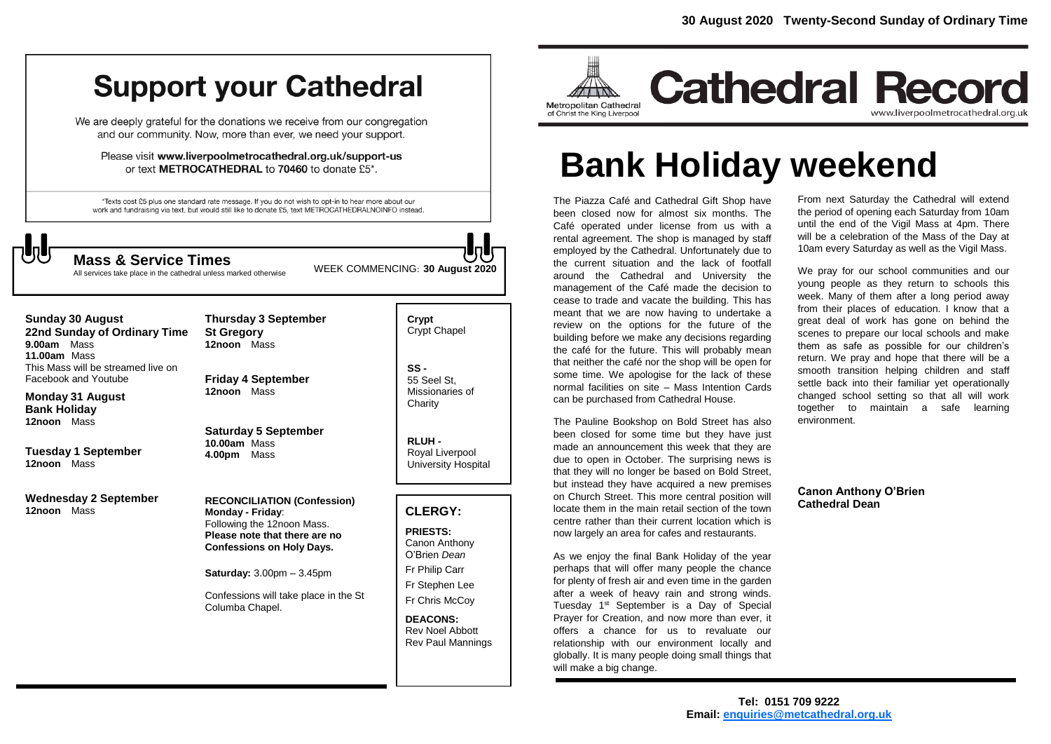# **Support your Cathedral**

We are deeply grateful for the donations we receive from our congregation and our community. Now, more than ever, we need your support.

Please visit www.liverpoolmetrocathedral.org.uk/support-us or text METROCATHEDRAL to 70460 to donate £5\*.

\*Texts cost £5 plus one standard rate message. If you do not wish to opt-in to hear more about our work and fundraising via text, but would still like to donate £5, text METROCATHEDRALNOINFO instead.



All services take place in the cathedral unless marked otherwise

WEEK COMMENCING: **<sup>30</sup> August <sup>2020</sup> Mass & Service Times**

#### **Sunday 30 August 22nd Sunday of Ordinary Time 9.00am** Mass

**11.00am** Mass This Mass will be streamed live on Facebook and Youtube

**Monday 31 August Bank Holiday 12noon** Mass

**Tuesday 1 September 12noon** Mass

**Wednesday 2 September 12noon** Mass

**Thursday 3 September St Gregory 12noon** Mass

**Friday 4 September 12noon** Mass

**Saturday 5 September 10.00am** Mass **4.00pm** Mass

**RECONCILIATION (Confession) Monday - Friday**: Following the 12noon Mass. **Please note that there are no Confessions on Holy Days.**

**Saturday:** 3.00pm – 3.45pm

Confessions will take place in the St Columba Chapel.

**Crypt**  Crypt Chapel

**SS -** 55 Seel St, Missionaries of **Charity** 

**RLUH -** Royal Liverpool University Hospital

## **CLERGY:**

**PRIESTS:** Canon Anthony O'Brien *Dean* Fr Philip Carr Fr Stephen Lee Fr Chris McCoy

**DEACONS:** Rev Noel Abbott Rev Paul Mannings



# **Bank Holiday weekend**

The Piazza Café and Cathedral Gift Shop have been closed now for almost six months. The Café operated under license from us with a rental agreement. The shop is managed by staff employed by the Cathedral. Unfortunately due to the current situation and the lack of footfall around the Cathedral and University the management of the Café made the decision to cease to trade and vacate the building. This has meant that we are now having to undertake a review on the options for the future of the building before we make any decisions regarding the café for the future. This will probably mean that neither the café nor the shop will be open for some time. We apologise for the lack of these normal facilities on site – Mass Intention Cards can be purchased from Cathedral House.

The Pauline Bookshop on Bold Street has also been closed for some time but they have just made an announcement this week that they are due to open in October. The surprising news is that they will no longer be based on Bold Street, but instead they have acquired a new premises on Church Street. This more central position will locate them in the main retail section of the town centre rather than their current location which is now largely an area for cafes and restaurants.

As we enjoy the final Bank Holiday of the year perhaps that will offer many people the chance for plenty of fresh air and even time in the garden after a week of heavy rain and strong winds. Tuesday 1<sup>st</sup> September is a Day of Special Prayer for Creation, and now more than ever, it offers a chance for us to revaluate our relationship with our environment locally and globally. It is many people doing small things that will make a big change.

From next Saturday the Cathedral will extend the period of opening each Saturday from 10am until the end of the Vigil Mass at 4pm. There will be a celebration of the Mass of the Day at 10am every Saturday as well as the Vigil Mass.

We pray for our school communities and our young people as they return to schools this week. Many of them after a long period away from their places of education. I know that a great deal of work has gone on behind the scenes to prepare our local schools and make them as safe as possible for our children's return. We pray and hope that there will be a smooth transition helping children and staff settle back into their familiar yet operationally changed school setting so that all will work together to maintain a safe learning environment.

**Canon Anthony O'Brien Cathedral Dean**